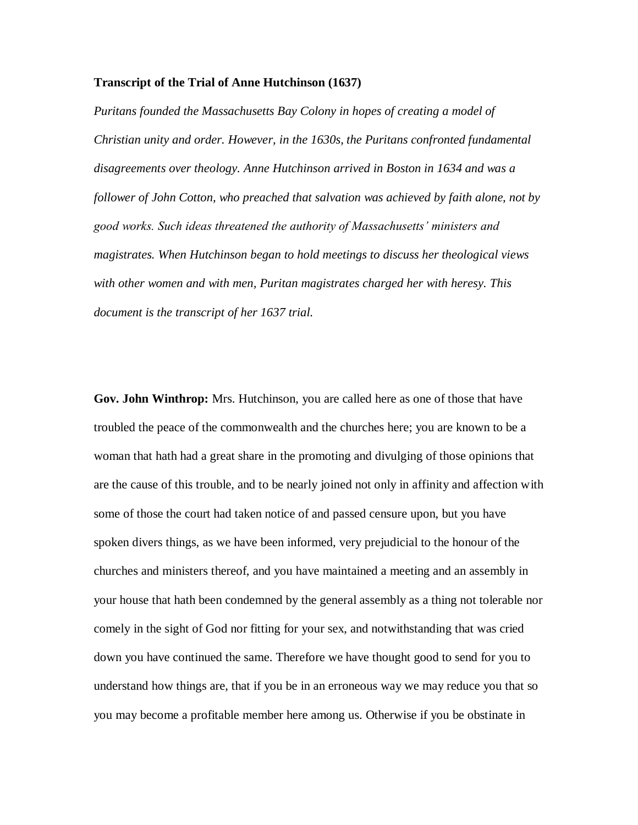## **Transcript of the Trial of Anne Hutchinson (1637)**

*Puritans founded the Massachusetts Bay Colony in hopes of creating a model of Christian unity and order. However, in the 1630s, the Puritans confronted fundamental disagreements over theology. Anne Hutchinson arrived in Boston in 1634 and was a follower of John Cotton, who preached that salvation was achieved by faith alone, not by good works. Such ideas threatened the authority of Massachusetts' ministers and magistrates. When Hutchinson began to hold meetings to discuss her theological views with other women and with men, Puritan magistrates charged her with heresy. This document is the transcript of her 1637 trial.*

**Gov. John Winthrop:** Mrs. Hutchinson, you are called here as one of those that have troubled the peace of the commonwealth and the churches here; you are known to be a woman that hath had a great share in the promoting and divulging of those opinions that are the cause of this trouble, and to be nearly joined not only in affinity and affection with some of those the court had taken notice of and passed censure upon, but you have spoken divers things, as we have been informed, very prejudicial to the honour of the churches and ministers thereof, and you have maintained a meeting and an assembly in your house that hath been condemned by the general assembly as a thing not tolerable nor comely in the sight of God nor fitting for your sex, and notwithstanding that was cried down you have continued the same. Therefore we have thought good to send for you to understand how things are, that if you be in an erroneous way we may reduce you that so you may become a profitable member here among us. Otherwise if you be obstinate in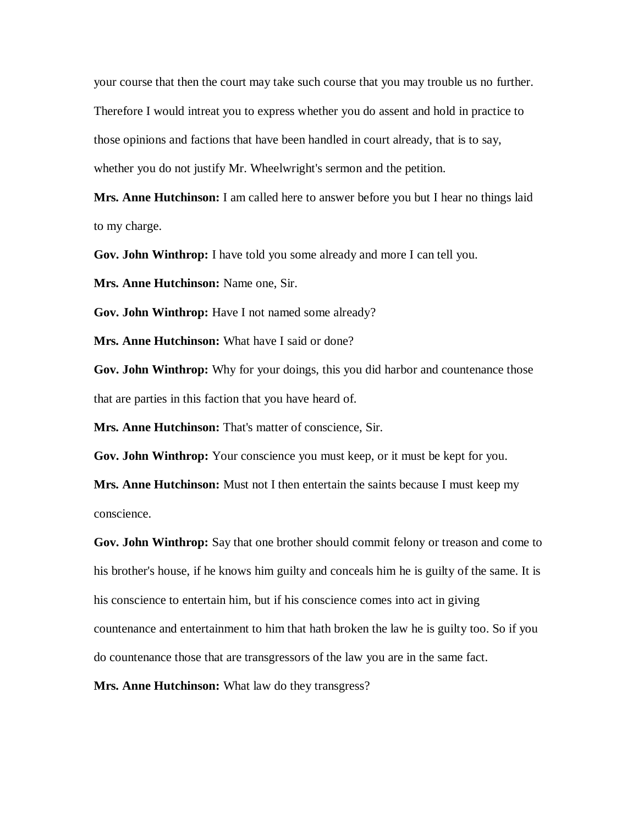your course that then the court may take such course that you may trouble us no further. Therefore I would intreat you to express whether you do assent and hold in practice to those opinions and factions that have been handled in court already, that is to say, whether you do not justify Mr. Wheelwright's sermon and the petition.

**Mrs. Anne Hutchinson:** I am called here to answer before you but I hear no things laid to my charge.

**Gov. John Winthrop:** I have told you some already and more I can tell you.

**Mrs. Anne Hutchinson:** Name one, Sir.

**Gov. John Winthrop:** Have I not named some already?

**Mrs. Anne Hutchinson:** What have I said or done?

**Gov. John Winthrop:** Why for your doings, this you did harbor and countenance those that are parties in this faction that you have heard of.

**Mrs. Anne Hutchinson:** That's matter of conscience, Sir.

**Gov. John Winthrop:** Your conscience you must keep, or it must be kept for you.

**Mrs. Anne Hutchinson:** Must not I then entertain the saints because I must keep my conscience.

**Gov. John Winthrop:** Say that one brother should commit felony or treason and come to his brother's house, if he knows him guilty and conceals him he is guilty of the same. It is his conscience to entertain him, but if his conscience comes into act in giving countenance and entertainment to him that hath broken the law he is guilty too. So if you do countenance those that are transgressors of the law you are in the same fact.

**Mrs. Anne Hutchinson:** What law do they transgress?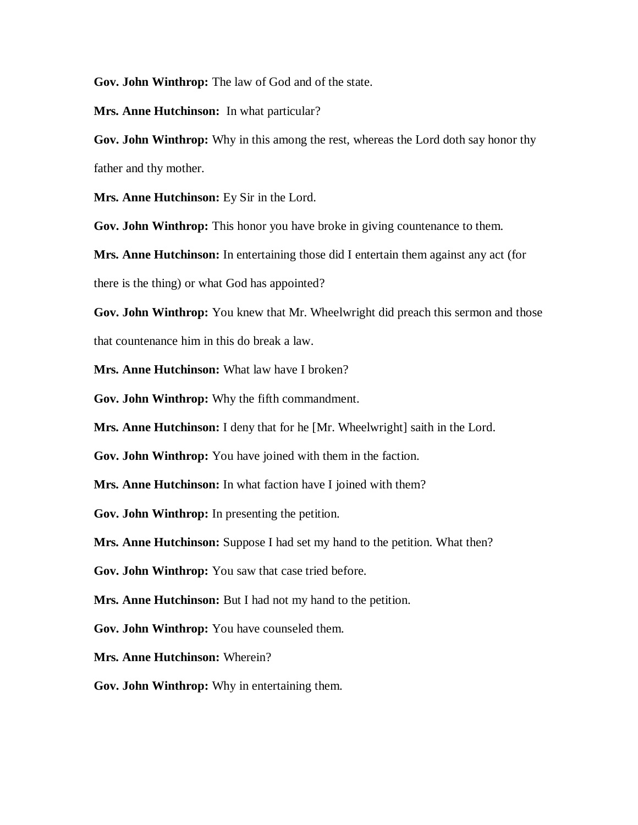**Gov. John Winthrop:** The law of God and of the state.

**Mrs. Anne Hutchinson:** In what particular?

**Gov. John Winthrop:** Why in this among the rest, whereas the Lord doth say honor thy father and thy mother.

**Mrs. Anne Hutchinson:** Ey Sir in the Lord.

**Gov. John Winthrop:** This honor you have broke in giving countenance to them.

**Mrs. Anne Hutchinson:** In entertaining those did I entertain them against any act (for there is the thing) or what God has appointed?

**Gov. John Winthrop:** You knew that Mr. Wheelwright did preach this sermon and those that countenance him in this do break a law.

**Mrs. Anne Hutchinson:** What law have I broken?

**Gov. John Winthrop:** Why the fifth commandment.

**Mrs. Anne Hutchinson:** I deny that for he [Mr. Wheelwright] saith in the Lord.

**Gov. John Winthrop:** You have joined with them in the faction.

**Mrs. Anne Hutchinson:** In what faction have I joined with them?

**Gov. John Winthrop:** In presenting the petition.

**Mrs. Anne Hutchinson:** Suppose I had set my hand to the petition. What then?

**Gov. John Winthrop:** You saw that case tried before.

**Mrs. Anne Hutchinson:** But I had not my hand to the petition.

**Gov. John Winthrop:** You have counseled them.

**Mrs. Anne Hutchinson:** Wherein?

**Gov. John Winthrop:** Why in entertaining them.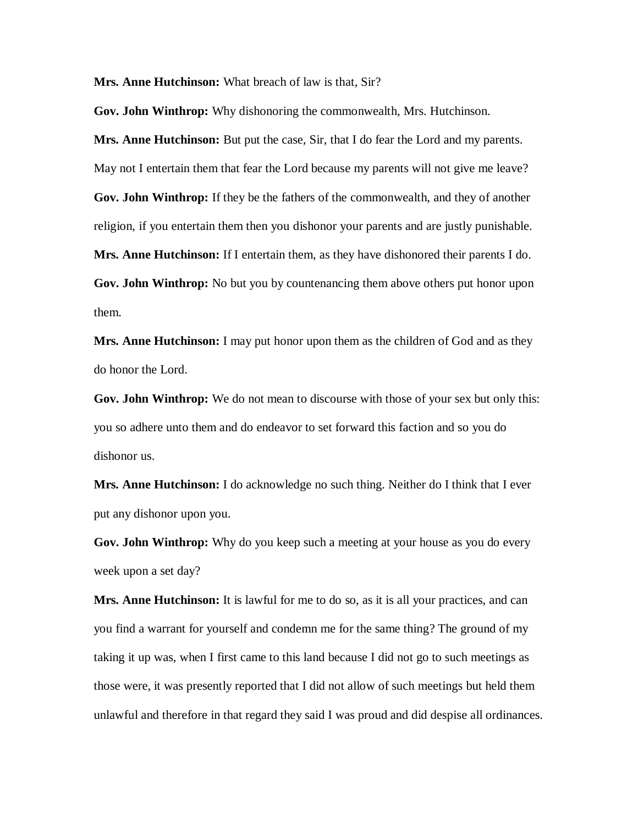**Mrs. Anne Hutchinson:** What breach of law is that, Sir?

**Gov. John Winthrop:** Why dishonoring the commonwealth, Mrs. Hutchinson.

**Mrs. Anne Hutchinson:** But put the case, Sir, that I do fear the Lord and my parents.

May not I entertain them that fear the Lord because my parents will not give me leave?

**Gov. John Winthrop:** If they be the fathers of the commonwealth, and they of another

religion, if you entertain them then you dishonor your parents and are justly punishable.

**Mrs. Anne Hutchinson:** If I entertain them, as they have dishonored their parents I do. **Gov. John Winthrop:** No but you by countenancing them above others put honor upon them.

**Mrs. Anne Hutchinson:** I may put honor upon them as the children of God and as they do honor the Lord.

**Gov. John Winthrop:** We do not mean to discourse with those of your sex but only this: you so adhere unto them and do endeavor to set forward this faction and so you do dishonor us.

**Mrs. Anne Hutchinson:** I do acknowledge no such thing. Neither do I think that I ever put any dishonor upon you.

**Gov. John Winthrop:** Why do you keep such a meeting at your house as you do every week upon a set day?

**Mrs. Anne Hutchinson:** It is lawful for me to do so, as it is all your practices, and can you find a warrant for yourself and condemn me for the same thing? The ground of my taking it up was, when I first came to this land because I did not go to such meetings as those were, it was presently reported that I did not allow of such meetings but held them unlawful and therefore in that regard they said I was proud and did despise all ordinances.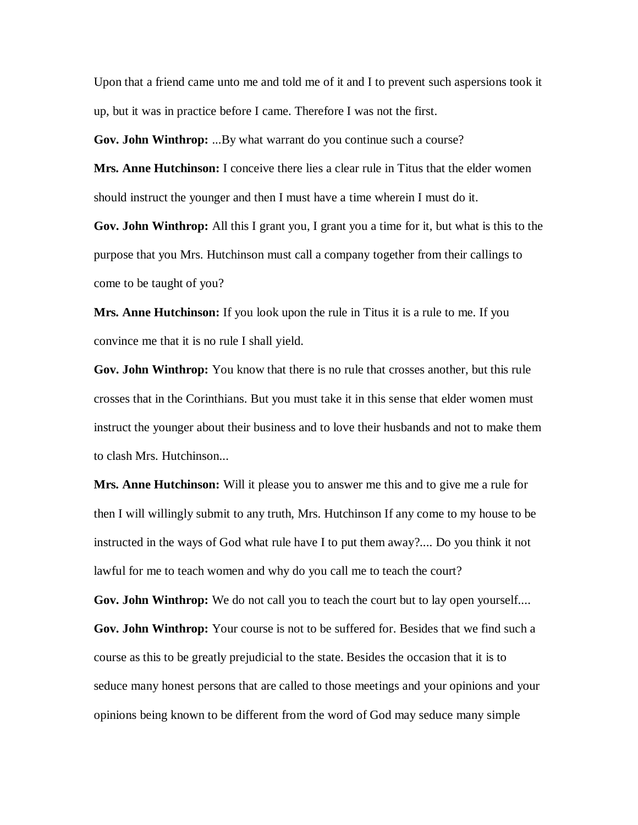Upon that a friend came unto me and told me of it and I to prevent such aspersions took it up, but it was in practice before I came. Therefore I was not the first.

**Gov. John Winthrop:** ...By what warrant do you continue such a course?

**Mrs. Anne Hutchinson:** I conceive there lies a clear rule in Titus that the elder women should instruct the younger and then I must have a time wherein I must do it.

**Gov. John Winthrop:** All this I grant you, I grant you a time for it, but what is this to the purpose that you Mrs. Hutchinson must call a company together from their callings to come to be taught of you?

**Mrs. Anne Hutchinson:** If you look upon the rule in Titus it is a rule to me. If you convince me that it is no rule I shall yield.

**Gov. John Winthrop:** You know that there is no rule that crosses another, but this rule crosses that in the Corinthians. But you must take it in this sense that elder women must instruct the younger about their business and to love their husbands and not to make them to clash Mrs. Hutchinson...

**Mrs. Anne Hutchinson:** Will it please you to answer me this and to give me a rule for then I will willingly submit to any truth, Mrs. Hutchinson If any come to my house to be instructed in the ways of God what rule have I to put them away?.... Do you think it not lawful for me to teach women and why do you call me to teach the court?

**Gov. John Winthrop:** We do not call you to teach the court but to lay open yourself....

**Gov. John Winthrop:** Your course is not to be suffered for. Besides that we find such a course as this to be greatly prejudicial to the state. Besides the occasion that it is to seduce many honest persons that are called to those meetings and your opinions and your opinions being known to be different from the word of God may seduce many simple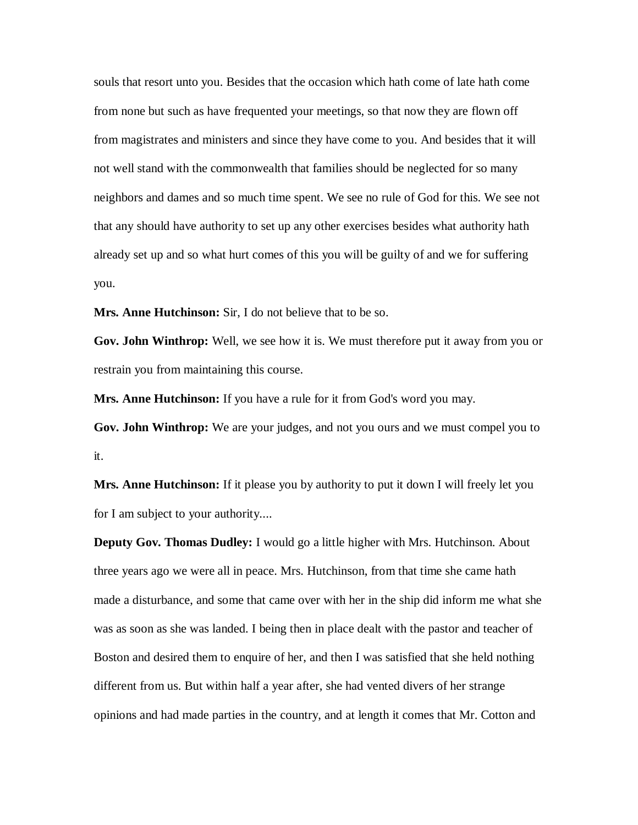souls that resort unto you. Besides that the occasion which hath come of late hath come from none but such as have frequented your meetings, so that now they are flown off from magistrates and ministers and since they have come to you. And besides that it will not well stand with the commonwealth that families should be neglected for so many neighbors and dames and so much time spent. We see no rule of God for this. We see not that any should have authority to set up any other exercises besides what authority hath already set up and so what hurt comes of this you will be guilty of and we for suffering you.

**Mrs. Anne Hutchinson:** Sir, I do not believe that to be so.

**Gov. John Winthrop:** Well, we see how it is. We must therefore put it away from you or restrain you from maintaining this course.

**Mrs. Anne Hutchinson:** If you have a rule for it from God's word you may.

**Gov. John Winthrop:** We are your judges, and not you ours and we must compel you to it.

**Mrs. Anne Hutchinson:** If it please you by authority to put it down I will freely let you for I am subject to your authority....

**Deputy Gov. Thomas Dudley:** I would go a little higher with Mrs. Hutchinson. About three years ago we were all in peace. Mrs. Hutchinson, from that time she came hath made a disturbance, and some that came over with her in the ship did inform me what she was as soon as she was landed. I being then in place dealt with the pastor and teacher of Boston and desired them to enquire of her, and then I was satisfied that she held nothing different from us. But within half a year after, she had vented divers of her strange opinions and had made parties in the country, and at length it comes that Mr. Cotton and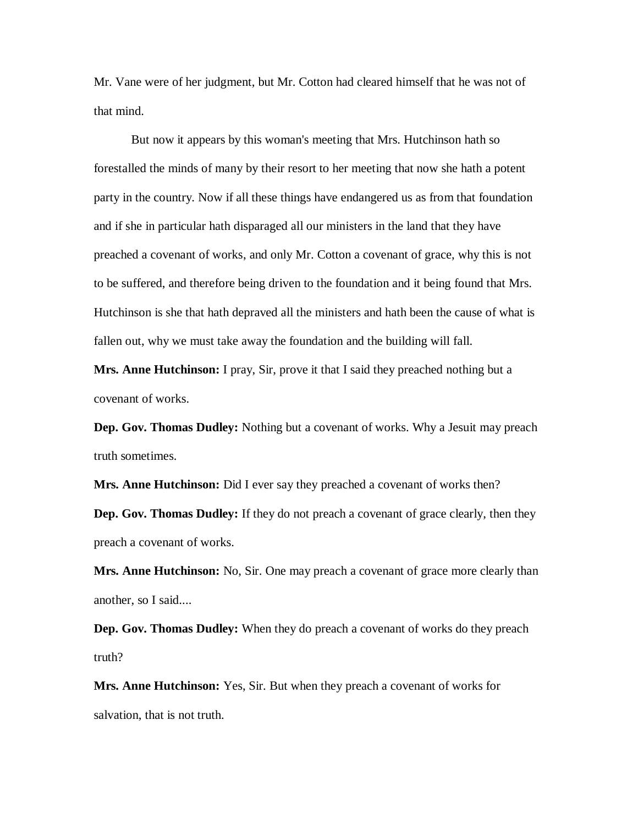Mr. Vane were of her judgment, but Mr. Cotton had cleared himself that he was not of that mind.

But now it appears by this woman's meeting that Mrs. Hutchinson hath so forestalled the minds of many by their resort to her meeting that now she hath a potent party in the country. Now if all these things have endangered us as from that foundation and if she in particular hath disparaged all our ministers in the land that they have preached a covenant of works, and only Mr. Cotton a covenant of grace, why this is not to be suffered, and therefore being driven to the foundation and it being found that Mrs. Hutchinson is she that hath depraved all the ministers and hath been the cause of what is fallen out, why we must take away the foundation and the building will fall.

**Mrs. Anne Hutchinson:** I pray, Sir, prove it that I said they preached nothing but a covenant of works.

**Dep. Gov. Thomas Dudley:** Nothing but a covenant of works. Why a Jesuit may preach truth sometimes.

**Mrs. Anne Hutchinson:** Did I ever say they preached a covenant of works then?

**Dep. Gov. Thomas Dudley:** If they do not preach a covenant of grace clearly, then they preach a covenant of works.

**Mrs. Anne Hutchinson:** No, Sir. One may preach a covenant of grace more clearly than another, so I said....

**Dep. Gov. Thomas Dudley:** When they do preach a covenant of works do they preach truth?

**Mrs. Anne Hutchinson:** Yes, Sir. But when they preach a covenant of works for salvation, that is not truth.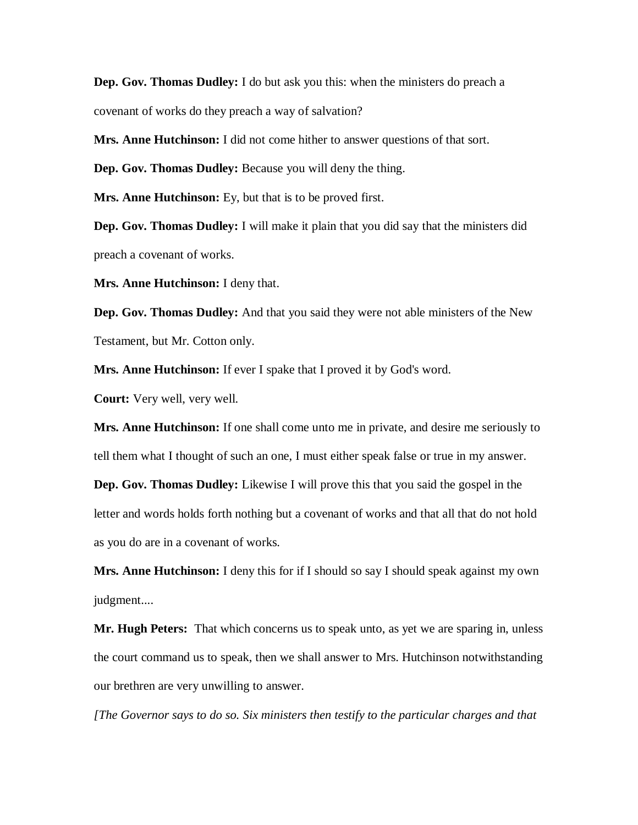**Dep. Gov. Thomas Dudley:** I do but ask you this: when the ministers do preach a covenant of works do they preach a way of salvation?

**Mrs. Anne Hutchinson:** I did not come hither to answer questions of that sort.

**Dep. Gov. Thomas Dudley:** Because you will deny the thing.

**Mrs. Anne Hutchinson:** Ey, but that is to be proved first.

**Dep. Gov. Thomas Dudley:** I will make it plain that you did say that the ministers did preach a covenant of works.

**Mrs. Anne Hutchinson:** I deny that.

**Dep. Gov. Thomas Dudley:** And that you said they were not able ministers of the New Testament, but Mr. Cotton only.

**Mrs. Anne Hutchinson:** If ever I spake that I proved it by God's word.

**Court:** Very well, very well.

**Mrs. Anne Hutchinson:** If one shall come unto me in private, and desire me seriously to tell them what I thought of such an one, I must either speak false or true in my answer.

**Dep. Gov. Thomas Dudley:** Likewise I will prove this that you said the gospel in the letter and words holds forth nothing but a covenant of works and that all that do not hold as you do are in a covenant of works.

**Mrs. Anne Hutchinson:** I deny this for if I should so say I should speak against my own judgment....

**Mr. Hugh Peters:** That which concerns us to speak unto, as yet we are sparing in, unless the court command us to speak, then we shall answer to Mrs. Hutchinson notwithstanding our brethren are very unwilling to answer.

*[The Governor says to do so. Six ministers then testify to the particular charges and that*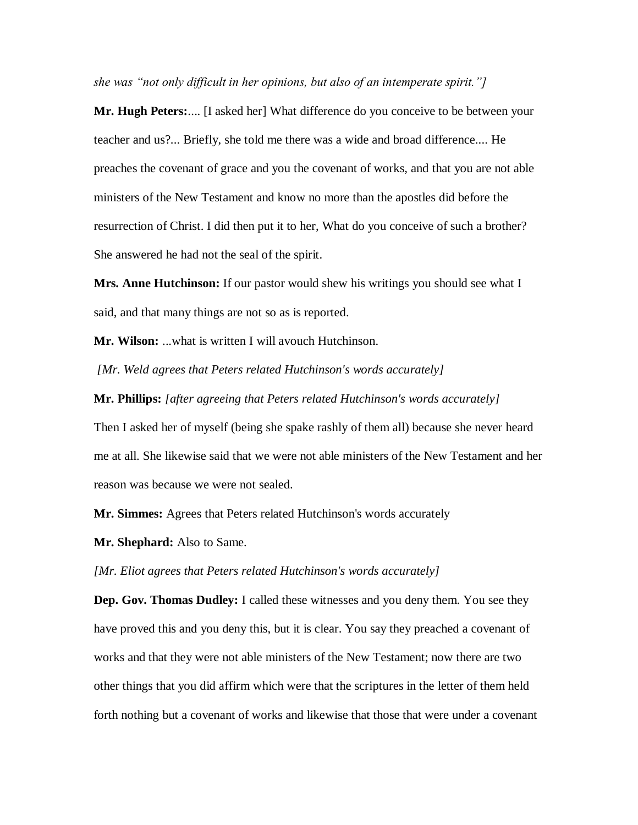*she was "not only difficult in her opinions, but also of an intemperate spirit."]*

**Mr. Hugh Peters:**.... [I asked her] What difference do you conceive to be between your teacher and us?... Briefly, she told me there was a wide and broad difference.... He preaches the covenant of grace and you the covenant of works, and that you are not able ministers of the New Testament and know no more than the apostles did before the resurrection of Christ. I did then put it to her, What do you conceive of such a brother? She answered he had not the seal of the spirit.

**Mrs. Anne Hutchinson:** If our pastor would shew his writings you should see what I said, and that many things are not so as is reported.

**Mr. Wilson:** ...what is written I will avouch Hutchinson.

*[Mr. Weld agrees that Peters related Hutchinson's words accurately]*

**Mr. Phillips:** *[after agreeing that Peters related Hutchinson's words accurately]*

Then I asked her of myself (being she spake rashly of them all) because she never heard me at all. She likewise said that we were not able ministers of the New Testament and her reason was because we were not sealed.

**Mr. Simmes:** Agrees that Peters related Hutchinson's words accurately

**Mr. Shephard:** Also to Same.

*[Mr. Eliot agrees that Peters related Hutchinson's words accurately]*

**Dep. Gov. Thomas Dudley:** I called these witnesses and you deny them. You see they have proved this and you deny this, but it is clear. You say they preached a covenant of works and that they were not able ministers of the New Testament; now there are two other things that you did affirm which were that the scriptures in the letter of them held forth nothing but a covenant of works and likewise that those that were under a covenant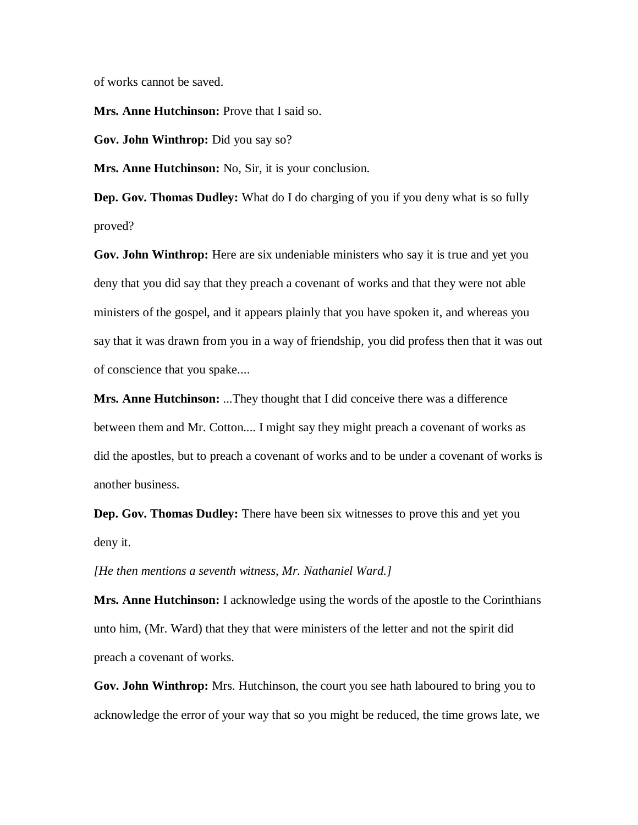of works cannot be saved.

**Mrs. Anne Hutchinson:** Prove that I said so.

**Gov. John Winthrop:** Did you say so?

**Mrs. Anne Hutchinson:** No, Sir, it is your conclusion.

**Dep. Gov. Thomas Dudley:** What do I do charging of you if you deny what is so fully proved?

**Gov. John Winthrop:** Here are six undeniable ministers who say it is true and yet you deny that you did say that they preach a covenant of works and that they were not able ministers of the gospel, and it appears plainly that you have spoken it, and whereas you say that it was drawn from you in a way of friendship, you did profess then that it was out of conscience that you spake....

**Mrs. Anne Hutchinson:** ...They thought that I did conceive there was a difference between them and Mr. Cotton.... I might say they might preach a covenant of works as did the apostles, but to preach a covenant of works and to be under a covenant of works is another business.

**Dep. Gov. Thomas Dudley:** There have been six witnesses to prove this and yet you deny it.

*[He then mentions a seventh witness, Mr. Nathaniel Ward.]*

**Mrs. Anne Hutchinson:** I acknowledge using the words of the apostle to the Corinthians unto him, (Mr. Ward) that they that were ministers of the letter and not the spirit did preach a covenant of works.

**Gov. John Winthrop:** Mrs. Hutchinson, the court you see hath laboured to bring you to acknowledge the error of your way that so you might be reduced, the time grows late, we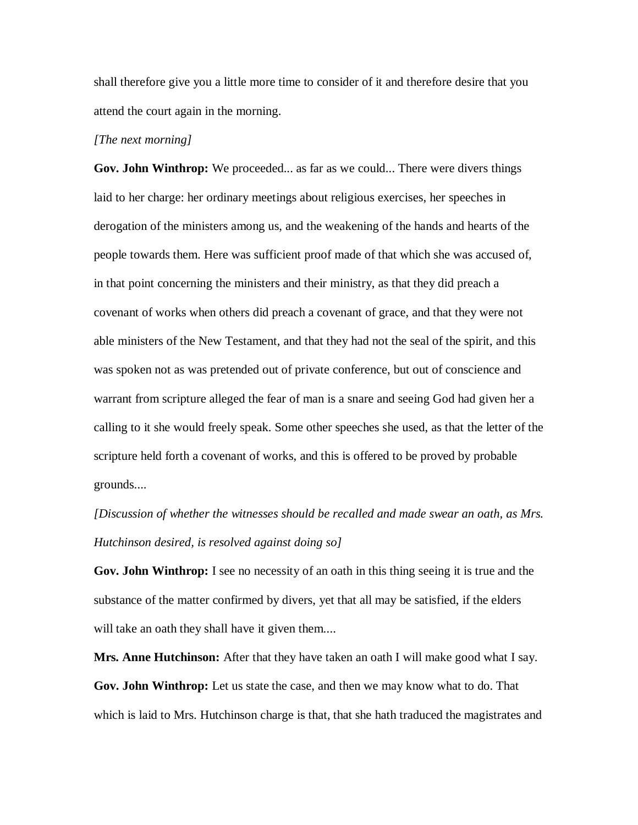shall therefore give you a little more time to consider of it and therefore desire that you attend the court again in the morning.

## *[The next morning]*

**Gov. John Winthrop:** We proceeded... as far as we could... There were divers things laid to her charge: her ordinary meetings about religious exercises, her speeches in derogation of the ministers among us, and the weakening of the hands and hearts of the people towards them. Here was sufficient proof made of that which she was accused of, in that point concerning the ministers and their ministry, as that they did preach a covenant of works when others did preach a covenant of grace, and that they were not able ministers of the New Testament, and that they had not the seal of the spirit, and this was spoken not as was pretended out of private conference, but out of conscience and warrant from scripture alleged the fear of man is a snare and seeing God had given her a calling to it she would freely speak. Some other speeches she used, as that the letter of the scripture held forth a covenant of works, and this is offered to be proved by probable grounds....

*[Discussion of whether the witnesses should be recalled and made swear an oath, as Mrs. Hutchinson desired, is resolved against doing so]*

**Gov. John Winthrop:** I see no necessity of an oath in this thing seeing it is true and the substance of the matter confirmed by divers, yet that all may be satisfied, if the elders will take an oath they shall have it given them....

**Mrs. Anne Hutchinson:** After that they have taken an oath I will make good what I say. **Gov. John Winthrop:** Let us state the case, and then we may know what to do. That which is laid to Mrs. Hutchinson charge is that, that she hath traduced the magistrates and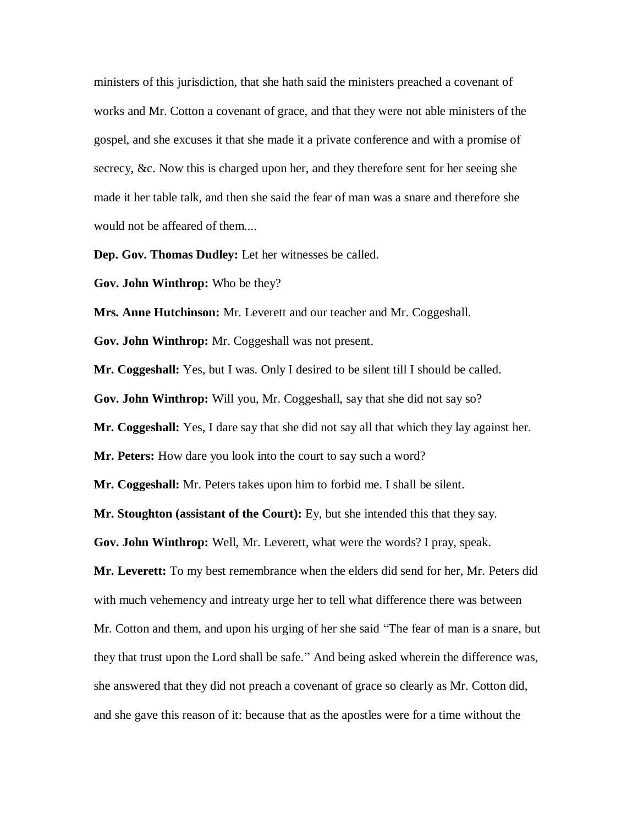ministers of this jurisdiction, that she hath said the ministers preached a covenant of works and Mr. Cotton a covenant of grace, and that they were not able ministers of the gospel, and she excuses it that she made it a private conference and with a promise of secrecy, &c. Now this is charged upon her, and they therefore sent for her seeing she made it her table talk, and then she said the fear of man was a snare and therefore she would not be affeared of them....

**Dep. Gov. Thomas Dudley:** Let her witnesses be called.

**Gov. John Winthrop:** Who be they?

**Mrs. Anne Hutchinson:** Mr. Leverett and our teacher and Mr. Coggeshall.

**Gov. John Winthrop:** Mr. Coggeshall was not present.

**Mr. Coggeshall:** Yes, but I was. Only I desired to be silent till I should be called.

**Gov. John Winthrop:** Will you, Mr. Coggeshall, say that she did not say so?

**Mr. Coggeshall:** Yes, I dare say that she did not say all that which they lay against her.

**Mr. Peters:** How dare you look into the court to say such a word?

**Mr. Coggeshall:** Mr. Peters takes upon him to forbid me. I shall be silent.

**Mr. Stoughton (assistant of the Court):** Ey, but she intended this that they say.

**Gov. John Winthrop:** Well, Mr. Leverett, what were the words? I pray, speak.

**Mr. Leverett:** To my best remembrance when the elders did send for her, Mr. Peters did with much vehemency and intreaty urge her to tell what difference there was between Mr. Cotton and them, and upon his urging of her she said "The fear of man is a snare, but they that trust upon the Lord shall be safe." And being asked wherein the difference was, she answered that they did not preach a covenant of grace so clearly as Mr. Cotton did, and she gave this reason of it: because that as the apostles were for a time without the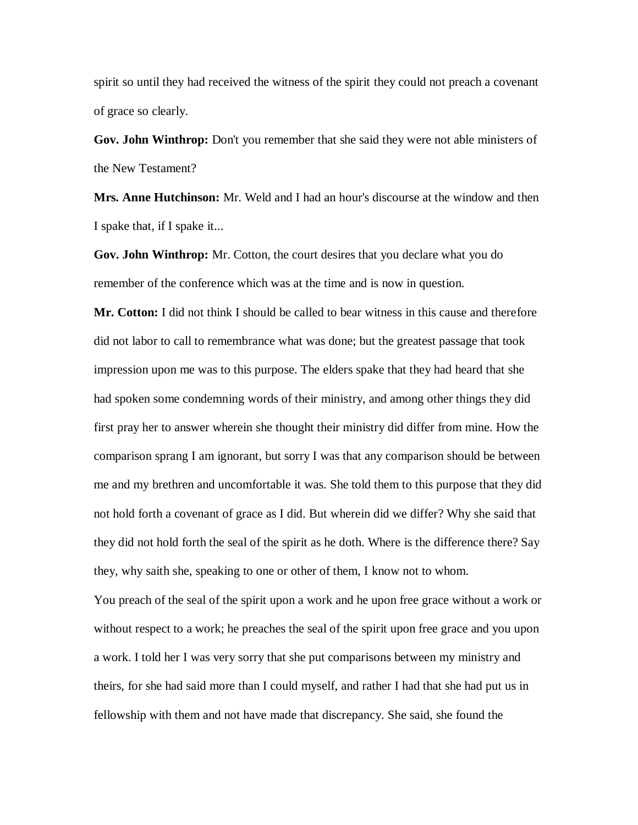spirit so until they had received the witness of the spirit they could not preach a covenant of grace so clearly.

**Gov. John Winthrop:** Don't you remember that she said they were not able ministers of the New Testament?

**Mrs. Anne Hutchinson:** Mr. Weld and I had an hour's discourse at the window and then I spake that, if I spake it...

**Gov. John Winthrop:** Mr. Cotton, the court desires that you declare what you do remember of the conference which was at the time and is now in question.

**Mr. Cotton:** I did not think I should be called to bear witness in this cause and therefore did not labor to call to remembrance what was done; but the greatest passage that took impression upon me was to this purpose. The elders spake that they had heard that she had spoken some condemning words of their ministry, and among other things they did first pray her to answer wherein she thought their ministry did differ from mine. How the comparison sprang I am ignorant, but sorry I was that any comparison should be between me and my brethren and uncomfortable it was. She told them to this purpose that they did not hold forth a covenant of grace as I did. But wherein did we differ? Why she said that they did not hold forth the seal of the spirit as he doth. Where is the difference there? Say they, why saith she, speaking to one or other of them, I know not to whom.

You preach of the seal of the spirit upon a work and he upon free grace without a work or without respect to a work; he preaches the seal of the spirit upon free grace and you upon a work. I told her I was very sorry that she put comparisons between my ministry and theirs, for she had said more than I could myself, and rather I had that she had put us in fellowship with them and not have made that discrepancy. She said, she found the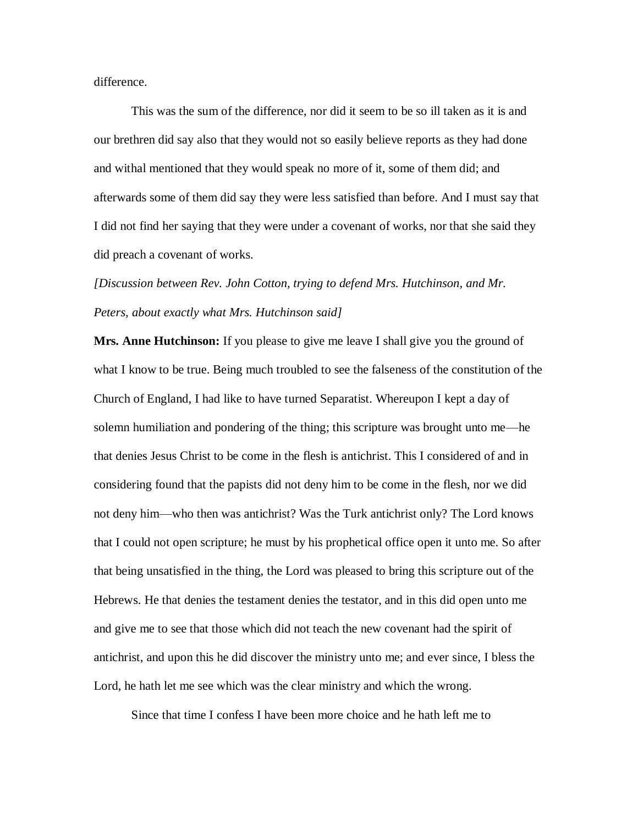difference.

This was the sum of the difference, nor did it seem to be so ill taken as it is and our brethren did say also that they would not so easily believe reports as they had done and withal mentioned that they would speak no more of it, some of them did; and afterwards some of them did say they were less satisfied than before. And I must say that I did not find her saying that they were under a covenant of works, nor that she said they did preach a covenant of works.

*[Discussion between Rev. John Cotton, trying to defend Mrs. Hutchinson, and Mr. Peters, about exactly what Mrs. Hutchinson said]*

**Mrs. Anne Hutchinson:** If you please to give me leave I shall give you the ground of what I know to be true. Being much troubled to see the falseness of the constitution of the Church of England, I had like to have turned Separatist. Whereupon I kept a day of solemn humiliation and pondering of the thing; this scripture was brought unto me—he that denies Jesus Christ to be come in the flesh is antichrist. This I considered of and in considering found that the papists did not deny him to be come in the flesh, nor we did not deny him—who then was antichrist? Was the Turk antichrist only? The Lord knows that I could not open scripture; he must by his prophetical office open it unto me. So after that being unsatisfied in the thing, the Lord was pleased to bring this scripture out of the Hebrews. He that denies the testament denies the testator, and in this did open unto me and give me to see that those which did not teach the new covenant had the spirit of antichrist, and upon this he did discover the ministry unto me; and ever since, I bless the Lord, he hath let me see which was the clear ministry and which the wrong.

Since that time I confess I have been more choice and he hath left me to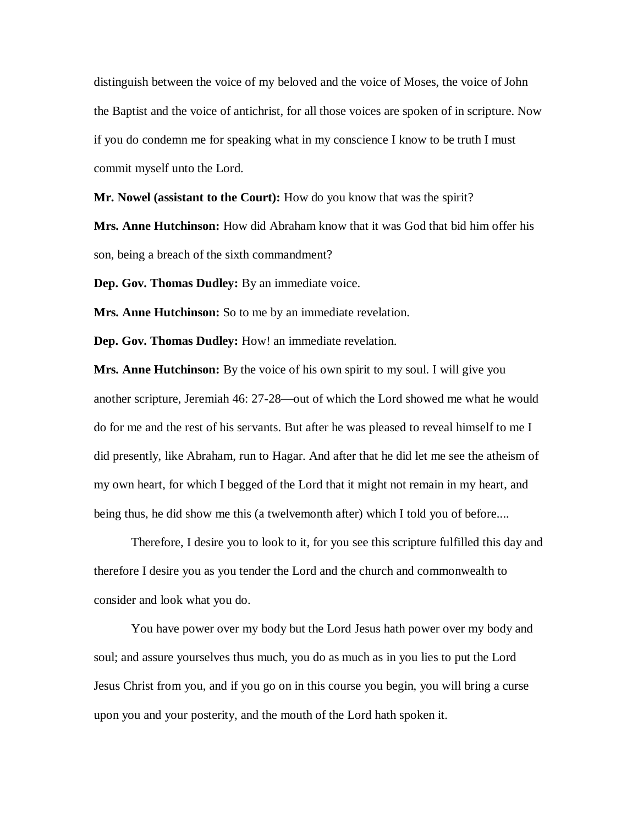distinguish between the voice of my beloved and the voice of Moses, the voice of John the Baptist and the voice of antichrist, for all those voices are spoken of in scripture. Now if you do condemn me for speaking what in my conscience I know to be truth I must commit myself unto the Lord.

**Mr. Nowel (assistant to the Court):** How do you know that was the spirit?

**Mrs. Anne Hutchinson:** How did Abraham know that it was God that bid him offer his son, being a breach of the sixth commandment?

**Dep. Gov. Thomas Dudley:** By an immediate voice.

**Mrs. Anne Hutchinson:** So to me by an immediate revelation.

**Dep. Gov. Thomas Dudley:** How! an immediate revelation.

**Mrs. Anne Hutchinson:** By the voice of his own spirit to my soul. I will give you another scripture, Jeremiah 46: 27-28—out of which the Lord showed me what he would do for me and the rest of his servants. But after he was pleased to reveal himself to me I did presently, like Abraham, run to Hagar. And after that he did let me see the atheism of my own heart, for which I begged of the Lord that it might not remain in my heart, and being thus, he did show me this (a twelvemonth after) which I told you of before....

Therefore, I desire you to look to it, for you see this scripture fulfilled this day and therefore I desire you as you tender the Lord and the church and commonwealth to consider and look what you do.

You have power over my body but the Lord Jesus hath power over my body and soul; and assure yourselves thus much, you do as much as in you lies to put the Lord Jesus Christ from you, and if you go on in this course you begin, you will bring a curse upon you and your posterity, and the mouth of the Lord hath spoken it.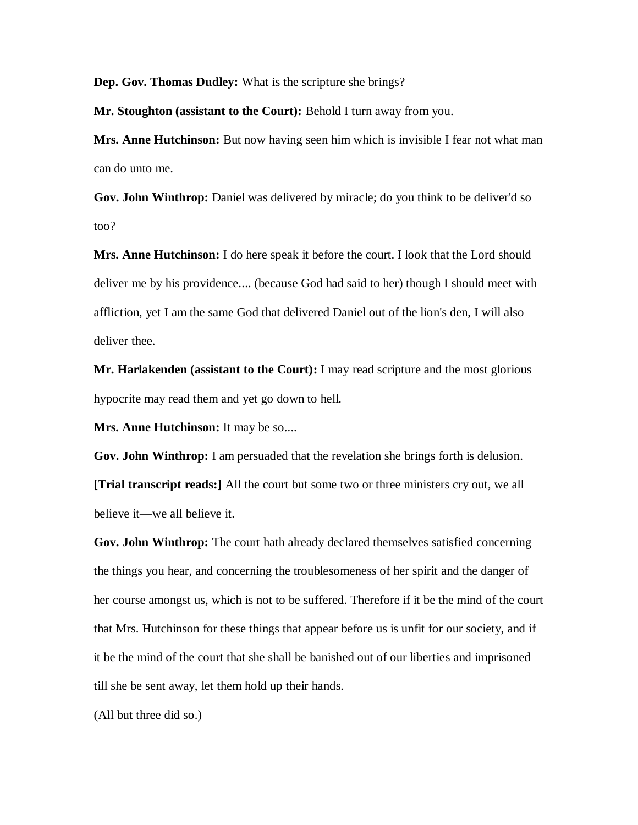**Dep. Gov. Thomas Dudley:** What is the scripture she brings?

**Mr. Stoughton (assistant to the Court):** Behold I turn away from you.

**Mrs. Anne Hutchinson:** But now having seen him which is invisible I fear not what man can do unto me.

**Gov. John Winthrop:** Daniel was delivered by miracle; do you think to be deliver'd so too?

**Mrs. Anne Hutchinson:** I do here speak it before the court. I look that the Lord should deliver me by his providence.... (because God had said to her) though I should meet with affliction, yet I am the same God that delivered Daniel out of the lion's den, I will also deliver thee.

**Mr. Harlakenden (assistant to the Court):** I may read scripture and the most glorious hypocrite may read them and yet go down to hell.

**Mrs. Anne Hutchinson:** It may be so....

**Gov. John Winthrop:** I am persuaded that the revelation she brings forth is delusion. **[Trial transcript reads:]** All the court but some two or three ministers cry out, we all believe it—we all believe it.

**Gov. John Winthrop:** The court hath already declared themselves satisfied concerning the things you hear, and concerning the troublesomeness of her spirit and the danger of her course amongst us, which is not to be suffered. Therefore if it be the mind of the court that Mrs. Hutchinson for these things that appear before us is unfit for our society, and if it be the mind of the court that she shall be banished out of our liberties and imprisoned till she be sent away, let them hold up their hands.

(All but three did so.)